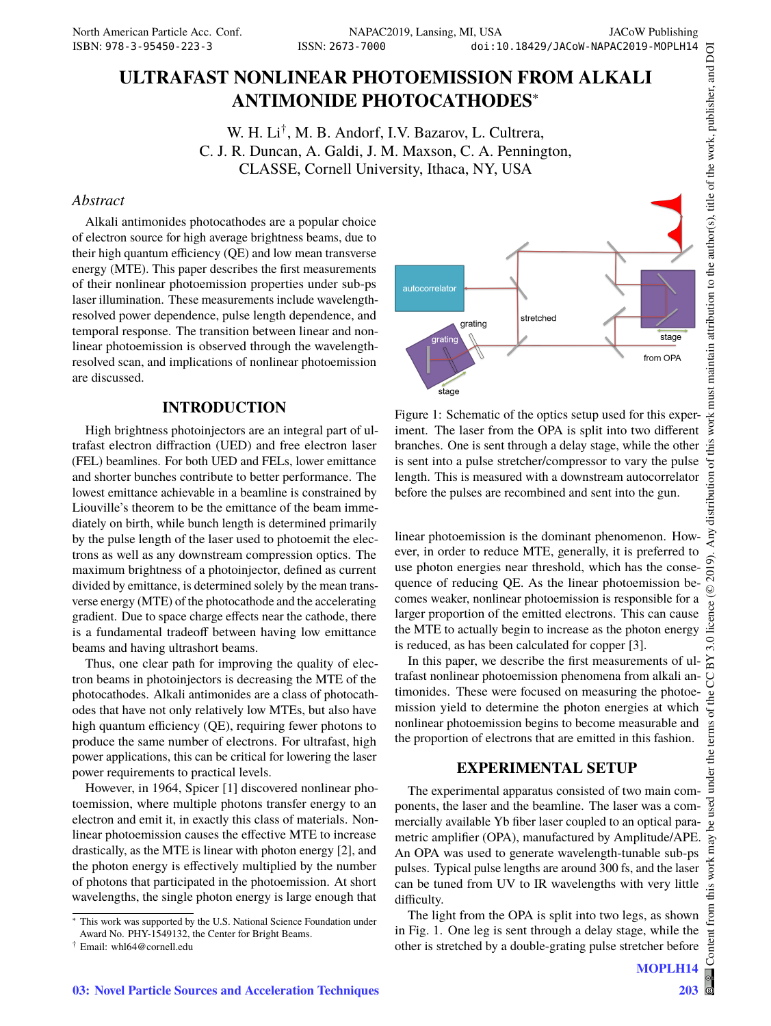# **ULTRAFAST NONLINEAR PHOTOEMISSION FROM ALKALI ANTIMONIDE PHOTOCATHODES**<sup>∗</sup>

W. H. Li† , M. B. Andorf, I.V. Bazarov, L. Cultrera, C. J. R. Duncan, A. Galdi, J. M. Maxson, C. A. Pennington, CLASSE, Cornell University, Ithaca, NY, USA

### *Abstract*

Alkali antimonides photocathodes are a popular choice of electron source for high average brightness beams, due to their high quantum efficiency (QE) and low mean transverse energy (MTE). This paper describes the first measurements of their nonlinear photoemission properties under sub-ps laser illumination. These measurements include wavelengthresolved power dependence, pulse length dependence, and temporal response. The transition between linear and nonlinear photoemission is observed through the wavelengthresolved scan, and implications of nonlinear photoemission are discussed.

## **INTRODUCTION**

High brightness photoinjectors are an integral part of ultrafast electron diffraction (UED) and free electron laser (FEL) beamlines. For both UED and FELs, lower emittance and shorter bunches contribute to better performance. The lowest emittance achievable in a beamline is constrained by Liouville's theorem to be the emittance of the beam immediately on birth, while bunch length is determined primarily by the pulse length of the laser used to photoemit the electrons as well as any downstream compression optics. The maximum brightness of a photoinjector, defined as current divided by emittance, is determined solely by the mean transverse energy (MTE) of the photocathode and the accelerating gradient. Due to space charge effects near the cathode, there is a fundamental tradeoff between having low emittance beams and having ultrashort beams.

Thus, one clear path for improving the quality of electron beams in photoinjectors is decreasing the MTE of the photocathodes. Alkali antimonides are a class of photocathodes that have not only relatively low MTEs, but also have high quantum efficiency (QE), requiring fewer photons to produce the same number of electrons. For ultrafast, high power applications, this can be critical for lowering the laser power requirements to practical levels.

However, in 1964, Spicer [1] discovered nonlinear photoemission, where multiple photons transfer energy to an electron and emit it, in exactly this class of materials. Nonlinear photoemission causes the effective MTE to increase drastically, as the MTE is linear with photon energy [2], and the photon energy is effectively multiplied by the number of photons that participated in the photoemission. At short wavelengths, the single photon energy is large enough that



Figure 1: Schematic of the optics setup used for this experiment. The laser from the OPA is split into two different branches. One is sent through a delay stage, while the other is sent into a pulse stretcher/compressor to vary the pulse length. This is measured with a downstream autocorrelator before the pulses are recombined and sent into the gun.

linear photoemission is the dominant phenomenon. However, in order to reduce MTE, generally, it is preferred to use photon energies near threshold, which has the consequence of reducing QE. As the linear photoemission becomes weaker, nonlinear photoemission is responsible for a larger proportion of the emitted electrons. This can cause the MTE to actually begin to increase as the photon energy is reduced, as has been calculated for copper [3].

In this paper, we describe the first measurements of ultrafast nonlinear photoemission phenomena from alkali antimonides. These were focused on measuring the photoemission yield to determine the photon energies at which nonlinear photoemission begins to become measurable and the proportion of electrons that are emitted in this fashion.

# **EXPERIMENTAL SETUP**

The experimental apparatus consisted of two main components, the laser and the beamline. The laser was a commercially available Yb fiber laser coupled to an optical parametric amplifier (OPA), manufactured by Amplitude/APE. An OPA was used to generate wavelength-tunable sub-ps pulses. Typical pulse lengths are around 300 fs, and the laser can be tuned from UV to IR wavelengths with very little difficulty.

The light from the OPA is split into two legs, as shown in Fig. 1. One leg is sent through a delay stage, while the other is stretched by a double-grating pulse stretcher before

**MOPLH14**

<sup>∗</sup> This work was supported by the U.S. National Science Foundation under Award No. PHY-1549132, the Center for Bright Beams.

<sup>†</sup> Email: whl64@cornell.edu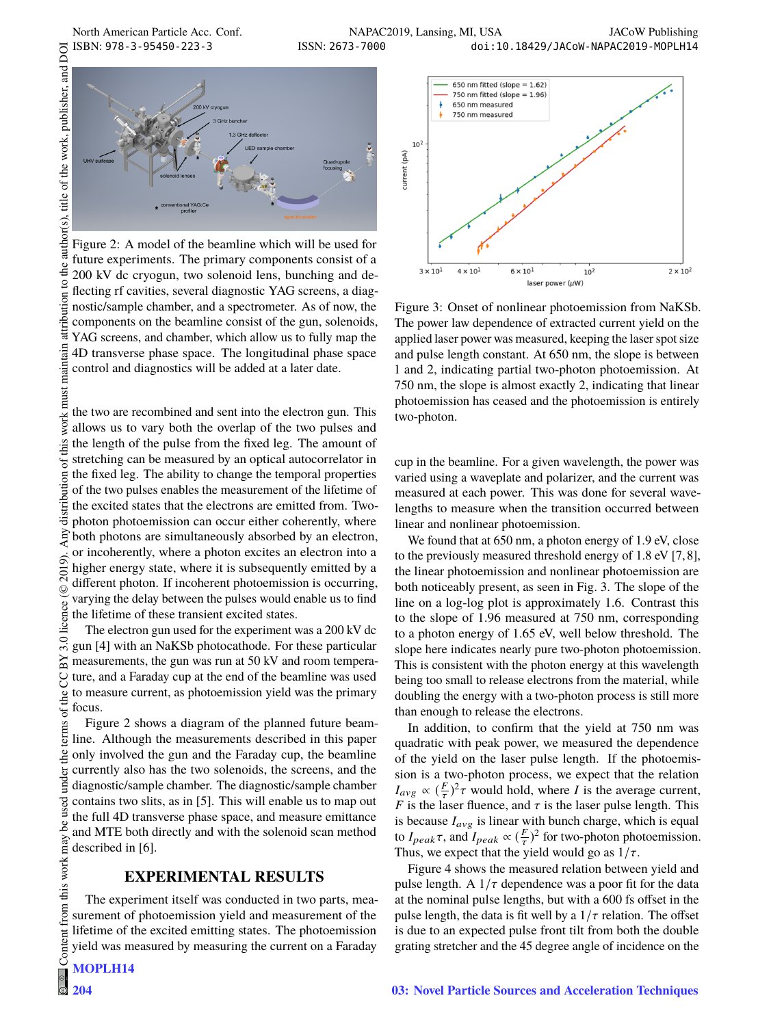attribution

maintair



Figure 2: A model of the beamline which will be used for future experiments. The primary components consist of a 200 kV dc cryogun, two solenoid lens, bunching and deflecting rf cavities, several diagnostic YAG screens, a diagnostic/sample chamber, and a spectrometer. As of now, the components on the beamline consist of the gun, solenoids, YAG screens, and chamber, which allow us to fully map the 4D transverse phase space. The longitudinal phase space control and diagnostics will be added at a later date.

 $\circledcirc$  2019). Any distribution of this work must maintain attribution to the author(s), title of the work, publisher, and DOI work must the two are recombined and sent into the electron gun. This allows us to vary both the overlap of the two pulses and this the length of the pulse from the fixed leg. The amount of stretching can be measured by an optical autocorrelator in  $\sigma$ distribution the fixed leg. The ability to change the temporal properties of the two pulses enables the measurement of the lifetime of the excited states that the electrons are emitted from. Twophoton photoemission can occur either coherently, where š both photons are simultaneously absorbed by an electron, or incoherently, where a photon excites an electron into a 2019). higher energy state, where it is subsequently emitted by a different photon. If incoherent photoemission is occurring, licence (© varying the delay between the pulses would enable us to find the lifetime of these transient excited states.

The electron gun used for the experiment was a 200 kV dc  $3.0$ gun [4] with an NaKSb photocathode. For these particular ΒY measurements, the gun was run at 50 kV and room temperag ture, and a Faraday cup at the end of the beamline was used to measure current, as photoemission yield was the primary the focus.

Content from this work may be used under the terms of the CC BY 3.0 licence ( $@$ terms of Figure 2 shows a diagram of the planned future beamline. Although the measurements described in this paper  $the<sub>1</sub>$ only involved the gun and the Faraday cup, the beamline under currently also has the two solenoids, the screens, and the diagnostic/sample chamber. The diagnostic/sample chamber contains two slits, as in [5]. This will enable us to map out the full 4D transverse phase space, and measure emittance be and MTE both directly and with the solenoid scan method this work may described in [6].

#### **EXPERIMENTAL RESULTS**

The experiment itself was conducted in two parts, measurement of photoemission yield and measurement of the lifetime of the excited emitting states. The photoemission yield was measured by measuring the current on a Faraday

**204**

 $from 1$ 

Content

 $\frac{1}{2}$ 



Figure 3: Onset of nonlinear photoemission from NaKSb. The power law dependence of extracted current yield on the applied laser power was measured, keeping the laser spot size and pulse length constant. At 650 nm, the slope is between 1 and 2, indicating partial two-photon photoemission. At 750 nm, the slope is almost exactly 2, indicating that linear photoemission has ceased and the photoemission is entirely two-photon.

cup in the beamline. For a given wavelength, the power was varied using a waveplate and polarizer, and the current was measured at each power. This was done for several wavelengths to measure when the transition occurred between linear and nonlinear photoemission.

We found that at 650 nm, a photon energy of 1.9 eV, close to the previously measured threshold energy of 1.8 eV [7, 8], the linear photoemission and nonlinear photoemission are both noticeably present, as seen in Fig. 3. The slope of the line on a log-log plot is approximately 1.6. Contrast this to the slope of 1.96 measured at 750 nm, corresponding to a photon energy of 1.65 eV, well below threshold. The slope here indicates nearly pure two-photon photoemission. This is consistent with the photon energy at this wavelength being too small to release electrons from the material, while doubling the energy with a two-photon process is still more than enough to release the electrons.

In addition, to confirm that the yield at 750 nm was quadratic with peak power, we measured the dependence of the yield on the laser pulse length. If the photoemission is a two-photon process, we expect that the relation  $I_{avg} \propto (\frac{F}{\tau})^2 \tau$  would hold, where *I* is the average current, <br>*F* is the laser fluence, and  $\tau$  is the laser pulse length. This *F* is the laser fluence, and  $\tau$  is the laser pulse length. This is because *I* is linear with bunch charge, which is equal is because  $I_{avg}$  is linear with bunch charge, which is equal to  $I_{peak}\tau$ , and  $I_{peak} \propto (\frac{F}{\tau})^2$  for two-photon photoemission.<br>Thus we expect that the vield would go as  $1/\tau$ Thus, we expect that the yield would go as  $1/\tau$ .<br>Figure 4 shows the measured relation between

Figure 4 shows the measured relation between yield and pulse length. A  $1/\tau$  dependence was a poor fit for the data at the nominal pulse lengths, but with a 600 fs offset in the pulse length, the data is fit well by a  $1/\tau$  relation. The offset is due to an expected pulse front tilt from both the double grating stretcher and the 45 degree angle of incidence on the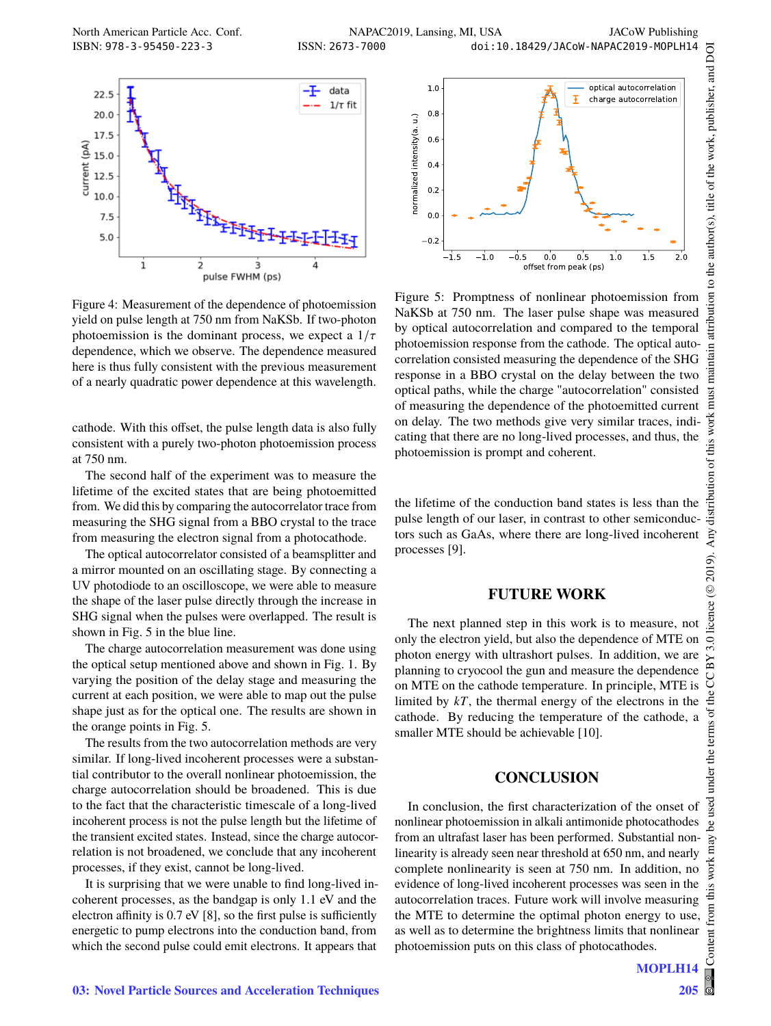

Figure 4: Measurement of the dependence of photoemission yield on pulse length at 750 nm from NaKSb. If two-photon photoemission is the dominant process, we expect a  $1/\tau$ dependence, which we observe. The dependence measured here is thus fully consistent with the previous measurement of a nearly quadratic power dependence at this wavelength.

cathode. With this offset, the pulse length data is also fully consistent with a purely two-photon photoemission process at 750 nm.

The second half of the experiment was to measure the lifetime of the excited states that are being photoemitted from. We did this by comparing the autocorrelator trace from measuring the SHG signal from a BBO crystal to the trace from measuring the electron signal from a photocathode.

The optical autocorrelator consisted of a beamsplitter and a mirror mounted on an oscillating stage. By connecting a UV photodiode to an oscilloscope, we were able to measure the shape of the laser pulse directly through the increase in SHG signal when the pulses were overlapped. The result is shown in Fig. 5 in the blue line.

The charge autocorrelation measurement was done using the optical setup mentioned above and shown in Fig. 1. By varying the position of the delay stage and measuring the current at each position, we were able to map out the pulse shape just as for the optical one. The results are shown in the orange points in Fig. 5.

The results from the two autocorrelation methods are very similar. If long-lived incoherent processes were a substantial contributor to the overall nonlinear photoemission, the charge autocorrelation should be broadened. This is due to the fact that the characteristic timescale of a long-lived incoherent process is not the pulse length but the lifetime of the transient excited states. Instead, since the charge autocorrelation is not broadened, we conclude that any incoherent processes, if they exist, cannot be long-lived.

It is surprising that we were unable to find long-lived incoherent processes, as the bandgap is only 1.1 eV and the electron affinity is 0.7 eV [8], so the first pulse is sufficiently energetic to pump electrons into the conduction band, from which the second pulse could emit electrons. It appears that



Figure 5: Promptness of nonlinear photoemission from NaKSb at 750 nm. The laser pulse shape was measured by optical autocorrelation and compared to the temporal photoemission response from the cathode. The optical autocorrelation consisted measuring the dependence of the SHG response in a BBO crystal on the delay between the two optical paths, while the charge "autocorrelation" consisted of measuring the dependence of the photoemitted current on delay. The two methods give very similar traces, indicating that there are no long-lived processes, and thus, the photoemission is prompt and coherent.

the lifetime of the conduction band states is less than the pulse length of our laser, in contrast to other semiconductors such as GaAs, where there are long-lived incoherent processes [9].

#### **FUTURE WORK**

The next planned step in this work is to measure, not only the electron yield, but also the dependence of MTE on photon energy with ultrashort pulses. In addition, we are planning to cryocool the gun and measure the dependence on MTE on the cathode temperature. In principle, MTE is limited by *kT*, the thermal energy of the electrons in the cathode. By reducing the temperature of the cathode, a smaller MTE should be achievable [10].

# **CONCLUSION**

In conclusion, the first characterization of the onset of nonlinear photoemission in alkali antimonide photocathodes from an ultrafast laser has been performed. Substantial nonlinearity is already seen near threshold at 650 nm, and nearly complete nonlinearity is seen at 750 nm. In addition, no evidence of long-lived incoherent processes was seen in the autocorrelation traces. Future work will involve measuring the MTE to determine the optimal photon energy to use, as well as to determine the brightness limits that nonlinear photoemission puts on this class of photocathodes.